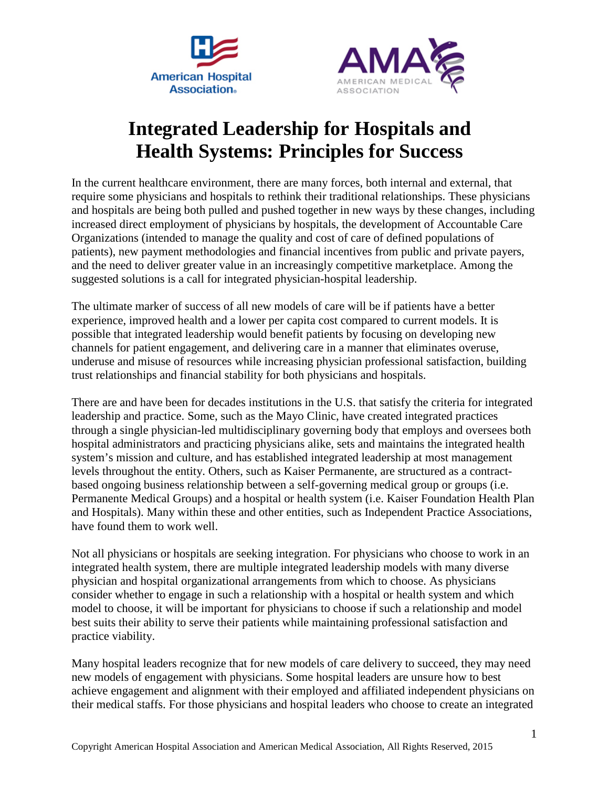



# **Integrated Leadership for Hospitals and Health Systems: Principles for Success**

In the current healthcare environment, there are many forces, both internal and external, that require some physicians and hospitals to rethink their traditional relationships. These physicians and hospitals are being both pulled and pushed together in new ways by these changes, including increased direct employment of physicians by hospitals, the development of Accountable Care Organizations (intended to manage the quality and cost of care of defined populations of patients), new payment methodologies and financial incentives from public and private payers, and the need to deliver greater value in an increasingly competitive marketplace. Among the suggested solutions is a call for integrated physician-hospital leadership.

The ultimate marker of success of all new models of care will be if patients have a better experience, improved health and a lower per capita cost compared to current models. It is possible that integrated leadership would benefit patients by focusing on developing new channels for patient engagement, and delivering care in a manner that eliminates overuse, underuse and misuse of resources while increasing physician professional satisfaction, building trust relationships and financial stability for both physicians and hospitals.

There are and have been for decades institutions in the U.S. that satisfy the criteria for integrated leadership and practice. Some, such as the Mayo Clinic, have created integrated practices through a single physician-led multidisciplinary governing body that employs and oversees both hospital administrators and practicing physicians alike, sets and maintains the integrated health system's mission and culture, and has established integrated leadership at most management levels throughout the entity. Others, such as Kaiser Permanente, are structured as a contractbased ongoing business relationship between a self-governing medical group or groups (i.e. Permanente Medical Groups) and a hospital or health system (i.e. Kaiser Foundation Health Plan and Hospitals). Many within these and other entities, such as Independent Practice Associations, have found them to work well.

Not all physicians or hospitals are seeking integration. For physicians who choose to work in an integrated health system, there are multiple integrated leadership models with many diverse physician and hospital organizational arrangements from which to choose. As physicians consider whether to engage in such a relationship with a hospital or health system and which model to choose, it will be important for physicians to choose if such a relationship and model best suits their ability to serve their patients while maintaining professional satisfaction and practice viability.

Many hospital leaders recognize that for new models of care delivery to succeed, they may need new models of engagement with physicians. Some hospital leaders are unsure how to best achieve engagement and alignment with their employed and affiliated independent physicians on their medical staffs. For those physicians and hospital leaders who choose to create an integrated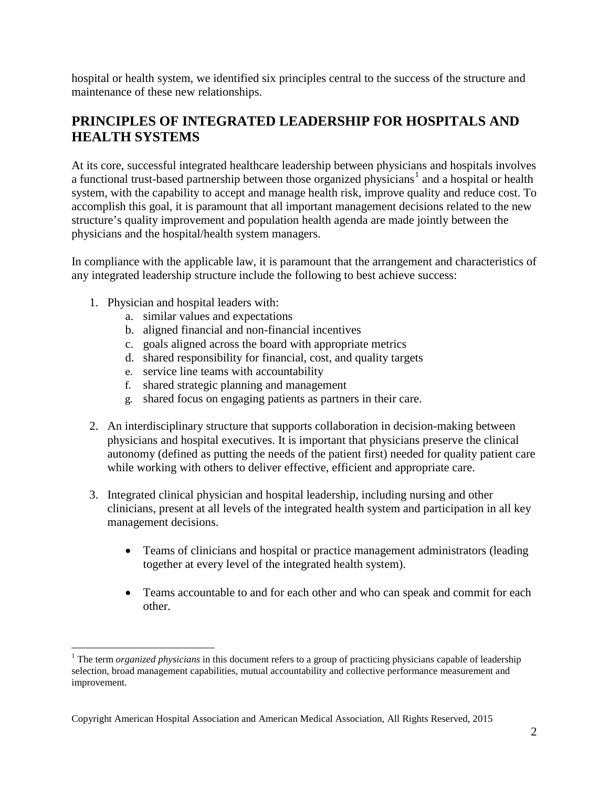hospital or health system, we identified six principles central to the success of the structure and maintenance of these new relationships.

# **PRINCIPLES OF INTEGRATED LEADERSHIP FOR HOSPITALS AND HEALTH SYSTEMS**

At its core, successful integrated healthcare leadership between physicians and hospitals involves a functional trust-based partnership between those organized physicians<sup>[1](#page-1-0)</sup> and a hospital or health system, with the capability to accept and manage health risk, improve quality and reduce cost. To accomplish this goal, it is paramount that all important management decisions related to the new structure's quality improvement and population health agenda are made jointly between the physicians and the hospital/health system managers.

In compliance with the applicable law, it is paramount that the arrangement and characteristics of any integrated leadership structure include the following to best achieve success:

1. Physician and hospital leaders with:

 $\overline{a}$ 

- a. similar values and expectations
- b. aligned financial and non-financial incentives
- c. goals aligned across the board with appropriate metrics
- d. shared responsibility for financial, cost, and quality targets
- e. service line teams with accountability
- f. shared strategic planning and management
- g. shared focus on engaging patients as partners in their care.
- 2. An interdisciplinary structure that supports collaboration in decision-making between physicians and hospital executives. It is important that physicians preserve the clinical autonomy (defined as putting the needs of the patient first) needed for quality patient care while working with others to deliver effective, efficient and appropriate care.
- 3. Integrated clinical physician and hospital leadership, including nursing and other clinicians, present at all levels of the integrated health system and participation in all key management decisions.
	- Teams of clinicians and hospital or practice management administrators (leading together at every level of the integrated health system).
	- Teams accountable to and for each other and who can speak and commit for each other.

<span id="page-1-0"></span><sup>1</sup> The term *organized physicians* in this document refers to a group of practicing physicians capable of leadership selection, broad management capabilities, mutual accountability and collective performance measurement and improvement.

Copyright American Hospital Association and American Medical Association, All Rights Reserved, 2015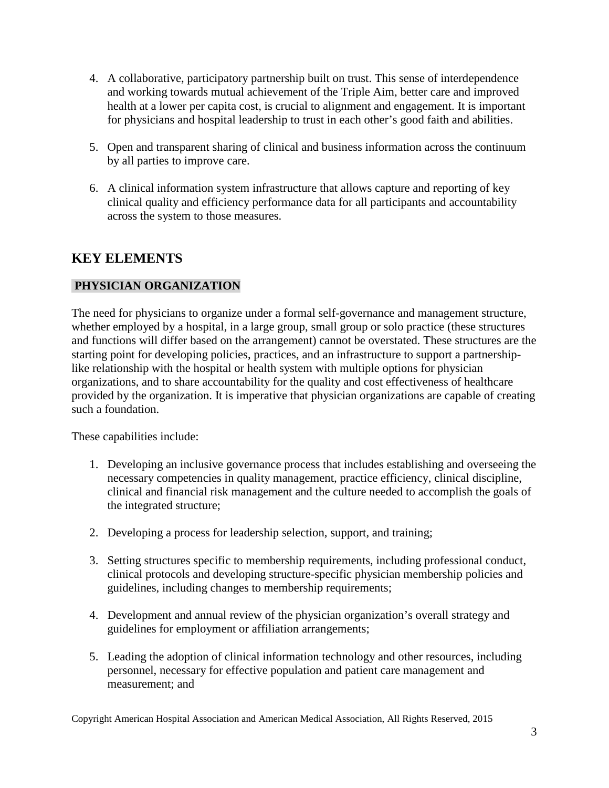- 4. A collaborative, participatory partnership built on trust. This sense of interdependence and working towards mutual achievement of the Triple Aim, better care and improved health at a lower per capita cost, is crucial to alignment and engagement. It is important for physicians and hospital leadership to trust in each other's good faith and abilities.
- 5. Open and transparent sharing of clinical and business information across the continuum by all parties to improve care.
- 6. A clinical information system infrastructure that allows capture and reporting of key clinical quality and efficiency performance data for all participants and accountability across the system to those measures.

# **KEY ELEMENTS**

# **PHYSICIAN ORGANIZATION**

The need for physicians to organize under a formal self-governance and management structure, whether employed by a hospital, in a large group, small group or solo practice (these structures and functions will differ based on the arrangement) cannot be overstated. These structures are the starting point for developing policies, practices, and an infrastructure to support a partnershiplike relationship with the hospital or health system with multiple options for physician organizations, and to share accountability for the quality and cost effectiveness of healthcare provided by the organization. It is imperative that physician organizations are capable of creating such a foundation.

These capabilities include:

- 1. Developing an inclusive governance process that includes establishing and overseeing the necessary competencies in quality management, practice efficiency, clinical discipline, clinical and financial risk management and the culture needed to accomplish the goals of the integrated structure;
- 2. Developing a process for leadership selection, support, and training;
- 3. Setting structures specific to membership requirements, including professional conduct, clinical protocols and developing structure-specific physician membership policies and guidelines, including changes to membership requirements;
- 4. Development and annual review of the physician organization's overall strategy and guidelines for employment or affiliation arrangements;
- 5. Leading the adoption of clinical information technology and other resources, including personnel, necessary for effective population and patient care management and measurement; and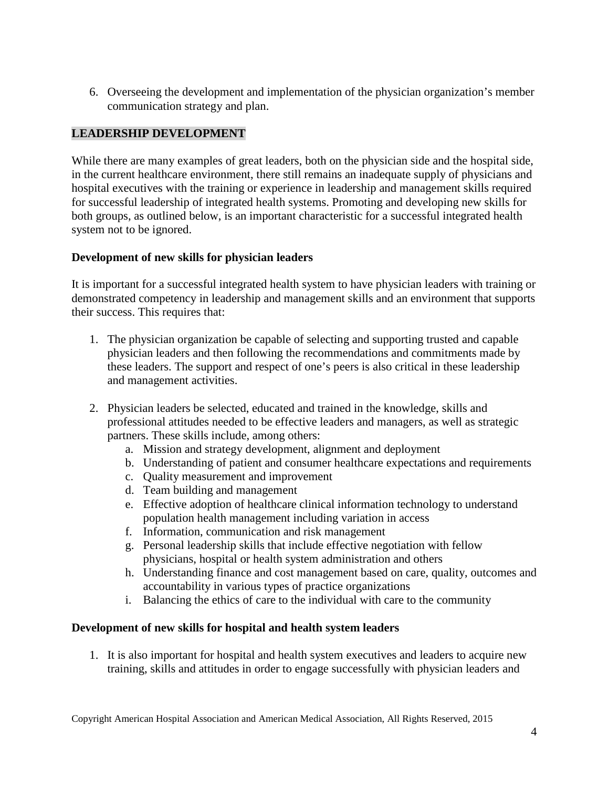6. Overseeing the development and implementation of the physician organization's member communication strategy and plan.

## **LEADERSHIP DEVELOPMENT**

While there are many examples of great leaders, both on the physician side and the hospital side, in the current healthcare environment, there still remains an inadequate supply of physicians and hospital executives with the training or experience in leadership and management skills required for successful leadership of integrated health systems. Promoting and developing new skills for both groups, as outlined below, is an important characteristic for a successful integrated health system not to be ignored.

## **Development of new skills for physician leaders**

It is important for a successful integrated health system to have physician leaders with training or demonstrated competency in leadership and management skills and an environment that supports their success. This requires that:

- 1. The physician organization be capable of selecting and supporting trusted and capable physician leaders and then following the recommendations and commitments made by these leaders. The support and respect of one's peers is also critical in these leadership and management activities.
- 2. Physician leaders be selected, educated and trained in the knowledge, skills and professional attitudes needed to be effective leaders and managers, as well as strategic partners. These skills include, among others:
	- a. Mission and strategy development, alignment and deployment
	- b. Understanding of patient and consumer healthcare expectations and requirements
	- c. Quality measurement and improvement
	- d. Team building and management
	- e. Effective adoption of healthcare clinical information technology to understand population health management including variation in access
	- f. Information, communication and risk management
	- g. Personal leadership skills that include effective negotiation with fellow physicians, hospital or health system administration and others
	- h. Understanding finance and cost management based on care, quality, outcomes and accountability in various types of practice organizations
	- i. Balancing the ethics of care to the individual with care to the community

## **Development of new skills for hospital and health system leaders**

1. It is also important for hospital and health system executives and leaders to acquire new training, skills and attitudes in order to engage successfully with physician leaders and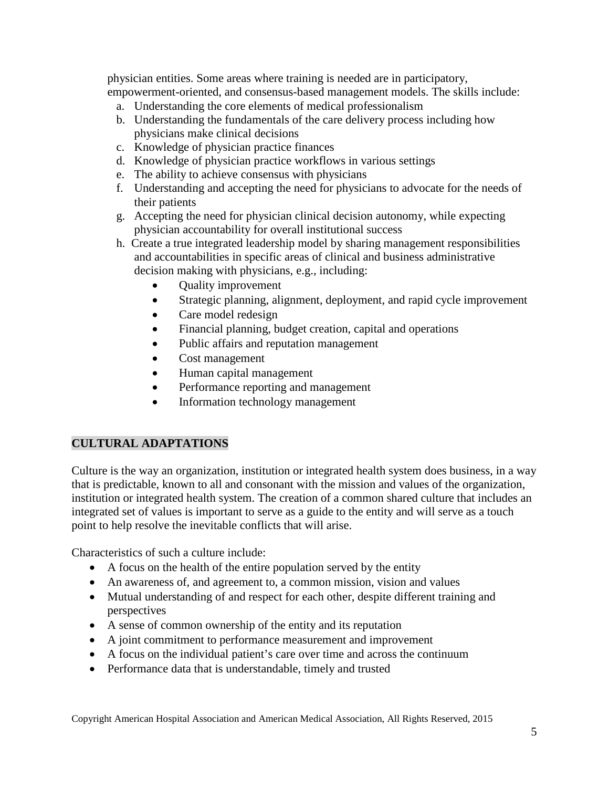physician entities. Some areas where training is needed are in participatory, empowerment-oriented, and consensus-based management models. The skills include:

- a. Understanding the core elements of medical professionalism
- b. Understanding the fundamentals of the care delivery process including how physicians make clinical decisions
- c. Knowledge of physician practice finances
- d. Knowledge of physician practice workflows in various settings
- e. The ability to achieve consensus with physicians
- f. Understanding and accepting the need for physicians to advocate for the needs of their patients
- g. Accepting the need for physician clinical decision autonomy, while expecting physician accountability for overall institutional success
- h. Create a true integrated leadership model by sharing management responsibilities and accountabilities in specific areas of clinical and business administrative decision making with physicians, e.g., including:
	- Quality improvement
	- Strategic planning, alignment, deployment, and rapid cycle improvement
	- Care model redesign
	- Financial planning, budget creation, capital and operations
	- Public affairs and reputation management
	- Cost management
	- Human capital management
	- Performance reporting and management
	- Information technology management

## **CULTURAL ADAPTATIONS**

Culture is the way an organization, institution or integrated health system does business, in a way that is predictable, known to all and consonant with the mission and values of the organization, institution or integrated health system. The creation of a common shared culture that includes an integrated set of values is important to serve as a guide to the entity and will serve as a touch point to help resolve the inevitable conflicts that will arise.

Characteristics of such a culture include:

- A focus on the health of the entire population served by the entity
- An awareness of, and agreement to, a common mission, vision and values
- Mutual understanding of and respect for each other, despite different training and perspectives
- A sense of common ownership of the entity and its reputation
- A joint commitment to performance measurement and improvement
- A focus on the individual patient's care over time and across the continuum
- Performance data that is understandable, timely and trusted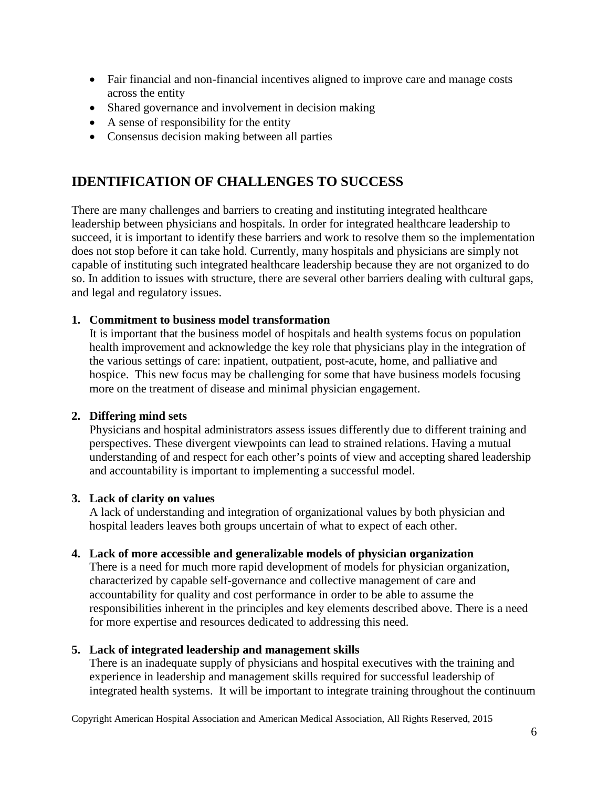- Fair financial and non-financial incentives aligned to improve care and manage costs across the entity
- Shared governance and involvement in decision making
- A sense of responsibility for the entity
- Consensus decision making between all parties

# **IDENTIFICATION OF CHALLENGES TO SUCCESS**

There are many challenges and barriers to creating and instituting integrated healthcare leadership between physicians and hospitals. In order for integrated healthcare leadership to succeed, it is important to identify these barriers and work to resolve them so the implementation does not stop before it can take hold. Currently, many hospitals and physicians are simply not capable of instituting such integrated healthcare leadership because they are not organized to do so. In addition to issues with structure, there are several other barriers dealing with cultural gaps, and legal and regulatory issues.

#### **1. Commitment to business model transformation**

It is important that the business model of hospitals and health systems focus on population health improvement and acknowledge the key role that physicians play in the integration of the various settings of care: inpatient, outpatient, post-acute, home, and palliative and hospice. This new focus may be challenging for some that have business models focusing more on the treatment of disease and minimal physician engagement.

#### **2. Differing mind sets**

Physicians and hospital administrators assess issues differently due to different training and perspectives. These divergent viewpoints can lead to strained relations. Having a mutual understanding of and respect for each other's points of view and accepting shared leadership and accountability is important to implementing a successful model.

#### **3. Lack of clarity on values**

A lack of understanding and integration of organizational values by both physician and hospital leaders leaves both groups uncertain of what to expect of each other.

#### **4. Lack of more accessible and generalizable models of physician organization**

There is a need for much more rapid development of models for physician organization, characterized by capable self-governance and collective management of care and accountability for quality and cost performance in order to be able to assume the responsibilities inherent in the principles and key elements described above. There is a need for more expertise and resources dedicated to addressing this need.

#### **5. Lack of integrated leadership and management skills**

There is an inadequate supply of physicians and hospital executives with the training and experience in leadership and management skills required for successful leadership of integrated health systems. It will be important to integrate training throughout the continuum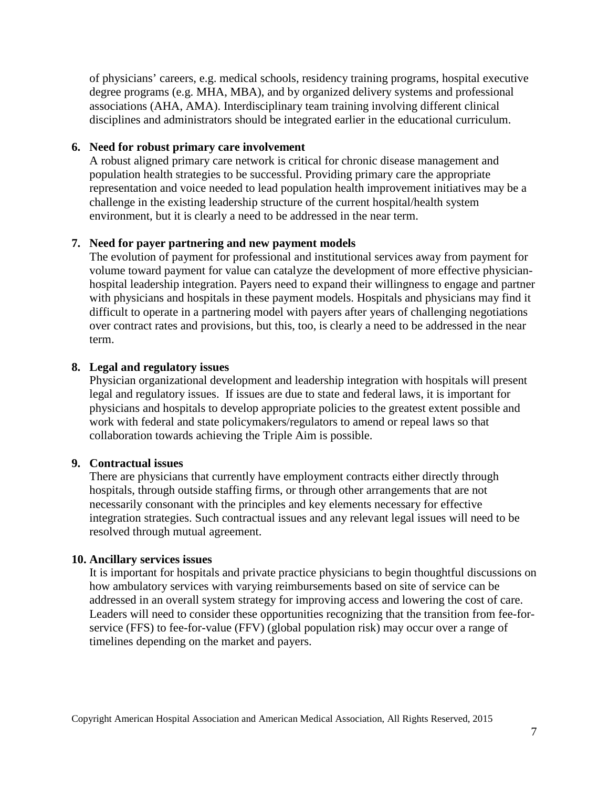of physicians' careers, e.g. medical schools, residency training programs, hospital executive degree programs (e.g. MHA, MBA), and by organized delivery systems and professional associations (AHA, AMA). Interdisciplinary team training involving different clinical disciplines and administrators should be integrated earlier in the educational curriculum.

#### **6. Need for robust primary care involvement**

A robust aligned primary care network is critical for chronic disease management and population health strategies to be successful. Providing primary care the appropriate representation and voice needed to lead population health improvement initiatives may be a challenge in the existing leadership structure of the current hospital/health system environment, but it is clearly a need to be addressed in the near term.

#### **7. Need for payer partnering and new payment models**

The evolution of payment for professional and institutional services away from payment for volume toward payment for value can catalyze the development of more effective physicianhospital leadership integration. Payers need to expand their willingness to engage and partner with physicians and hospitals in these payment models. Hospitals and physicians may find it difficult to operate in a partnering model with payers after years of challenging negotiations over contract rates and provisions, but this, too, is clearly a need to be addressed in the near term.

#### **8. Legal and regulatory issues**

Physician organizational development and leadership integration with hospitals will present legal and regulatory issues. If issues are due to state and federal laws, it is important for physicians and hospitals to develop appropriate policies to the greatest extent possible and work with federal and state policymakers/regulators to amend or repeal laws so that collaboration towards achieving the Triple Aim is possible.

#### **9. Contractual issues**

There are physicians that currently have employment contracts either directly through hospitals, through outside staffing firms, or through other arrangements that are not necessarily consonant with the principles and key elements necessary for effective integration strategies. Such contractual issues and any relevant legal issues will need to be resolved through mutual agreement.

#### **10. Ancillary services issues**

It is important for hospitals and private practice physicians to begin thoughtful discussions on how ambulatory services with varying reimbursements based on site of service can be addressed in an overall system strategy for improving access and lowering the cost of care. Leaders will need to consider these opportunities recognizing that the transition from fee-forservice (FFS) to fee-for-value (FFV) (global population risk) may occur over a range of timelines depending on the market and payers.